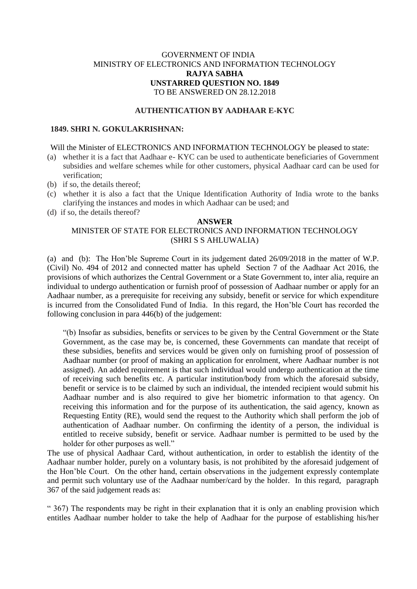## GOVERNMENT OF INDIA MINISTRY OF ELECTRONICS AND INFORMATION TECHNOLOGY **RAJYA SABHA UNSTARRED QUESTION NO. 1849** TO BE ANSWERED ON 28.12.2018

### **AUTHENTICATION BY AADHAAR E-KYC**

### **1849. SHRI N. GOKULAKRISHNAN:**

#### Will the Minister of ELECTRONICS AND INFORMATION TECHNOLOGY be pleased to state:

- (a) whether it is a fact that Aadhaar e- KYC can be used to authenticate beneficiaries of Government subsidies and welfare schemes while for other customers, physical Aadhaar card can be used for verification;
- (b) if so, the details thereof;
- (c) whether it is also a fact that the Unique Identification Authority of India wrote to the banks clarifying the instances and modes in which Aadhaar can be used; and
- (d) if so, the details thereof?

#### **ANSWER**

# MINISTER OF STATE FOR ELECTRONICS AND INFORMATION TECHNOLOGY (SHRI S S AHLUWALIA)

(a) and (b):The Hon'ble Supreme Court in its judgement dated 26/09/2018 in the matter of W.P. (Civil) No. 494 of 2012 and connected matter has upheld Section 7 of the Aadhaar Act 2016, the provisions of which authorizes the Central Government or a State Government to, inter alia, require an individual to undergo authentication or furnish proof of possession of Aadhaar number or apply for an Aadhaar number, as a prerequisite for receiving any subsidy, benefit or service for which expenditure is incurred from the Consolidated Fund of India. In this regard, the Hon'ble Court has recorded the following conclusion in para 446(b) of the judgement:

"(b) Insofar as subsidies, benefits or services to be given by the Central Government or the State Government, as the case may be, is concerned, these Governments can mandate that receipt of these subsidies, benefits and services would be given only on furnishing proof of possession of Aadhaar number (or proof of making an application for enrolment, where Aadhaar number is not assigned). An added requirement is that such individual would undergo authentication at the time of receiving such benefits etc. A particular institution/body from which the aforesaid subsidy, benefit or service is to be claimed by such an individual, the intended recipient would submit his Aadhaar number and is also required to give her biometric information to that agency. On receiving this information and for the purpose of its authentication, the said agency, known as Requesting Entity (RE), would send the request to the Authority which shall perform the job of authentication of Aadhaar number. On confirming the identity of a person, the individual is entitled to receive subsidy, benefit or service. Aadhaar number is permitted to be used by the holder for other purposes as well."

The use of physical Aadhaar Card, without authentication, in order to establish the identity of the Aadhaar number holder, purely on a voluntary basis, is not prohibited by the aforesaid judgement of the Hon'ble Court. On the other hand, certain observations in the judgement expressly contemplate and permit such voluntary use of the Aadhaar number/card by the holder. In this regard, paragraph 367 of the said judgement reads as:

" 367) The respondents may be right in their explanation that it is only an enabling provision which entitles Aadhaar number holder to take the help of Aadhaar for the purpose of establishing his/her